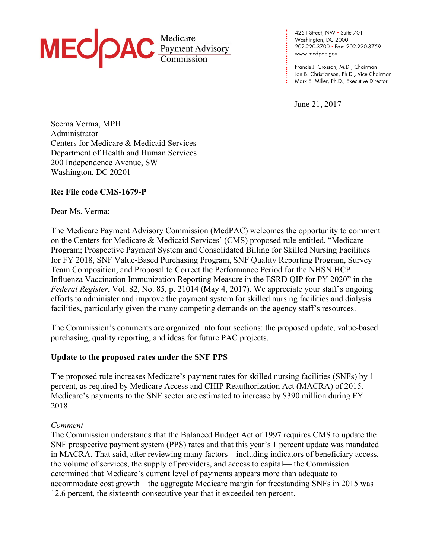

**. . . .**  202-220-3700 • Fax: 202-220-3759 **. . . .**  www.medpac.gov 425 I Street, NW • Suite 701 Washington, DC 20001

Francis J. Crosson, M.D., Chairman Jon B. Christianson, Ph.D.**,** Vice Chairman Mark E. Miller, Ph.D., Executive Director

June 21, 2017

**. . . . . .** 

**. . . . . . . . . . . .**

Seema Verma, MPH Administrator Centers for Medicare & Medicaid Services Department of Health and Human Services 200 Independence Avenue, SW Washington, DC 20201

## **Re: File code CMS-1679-P**

Dear Ms. Verma:

The Medicare Payment Advisory Commission (MedPAC) welcomes the opportunity to comment on the Centers for Medicare & Medicaid Services' (CMS) proposed rule entitled, "Medicare Program; Prospective Payment System and Consolidated Billing for Skilled Nursing Facilities for FY 2018, SNF Value-Based Purchasing Program, SNF Quality Reporting Program, Survey Team Composition, and Proposal to Correct the Performance Period for the NHSN HCP Influenza Vaccination Immunization Reporting Measure in the ESRD QIP for PY 2020" in the *Federal Register*, Vol. 82, No. 85, p. 21014 (May 4, 2017). We appreciate your staff's ongoing efforts to administer and improve the payment system for skilled nursing facilities and dialysis facilities, particularly given the many competing demands on the agency staff's resources.

The Commission's comments are organized into four sections: the proposed update, value-based purchasing, quality reporting, and ideas for future PAC projects.

### **Update to the proposed rates under the SNF PPS**

The proposed rule increases Medicare's payment rates for skilled nursing facilities (SNFs) by 1 percent, as required by Medicare Access and CHIP Reauthorization Act (MACRA) of 2015. Medicare's payments to the SNF sector are estimated to increase by \$390 million during FY 2018.

#### *Comment*

The Commission understands that the Balanced Budget Act of 1997 requires CMS to update the SNF prospective payment system (PPS) rates and that this year's 1 percent update was mandated in MACRA. That said, after reviewing many factors—including indicators of beneficiary access, the volume of services, the supply of providers, and access to capital— the Commission determined that Medicare's current level of payments appears more than adequate to accommodate cost growth—the aggregate Medicare margin for freestanding SNFs in 2015 was 12.6 percent, the sixteenth consecutive year that it exceeded ten percent.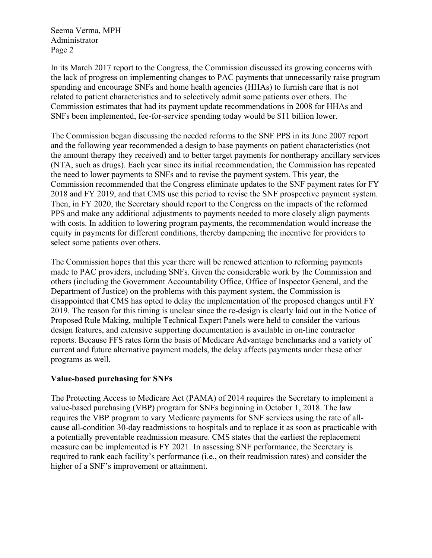In its March 2017 report to the Congress, the Commission discussed its growing concerns with the lack of progress on implementing changes to PAC payments that unnecessarily raise program spending and encourage SNFs and home health agencies (HHAs) to furnish care that is not related to patient characteristics and to selectively admit some patients over others. The Commission estimates that had its payment update recommendations in 2008 for HHAs and SNFs been implemented, fee-for-service spending today would be \$11 billion lower.

The Commission began discussing the needed reforms to the SNF PPS in its June 2007 report and the following year recommended a design to base payments on patient characteristics (not the amount therapy they received) and to better target payments for nontherapy ancillary services (NTA, such as drugs). Each year since its initial recommendation, the Commission has repeated the need to lower payments to SNFs and to revise the payment system. This year, the Commission recommended that the Congress eliminate updates to the SNF payment rates for FY 2018 and FY 2019, and that CMS use this period to revise the SNF prospective payment system. Then, in FY 2020, the Secretary should report to the Congress on the impacts of the reformed PPS and make any additional adjustments to payments needed to more closely align payments with costs. In addition to lowering program payments, the recommendation would increase the equity in payments for different conditions, thereby dampening the incentive for providers to select some patients over others.

The Commission hopes that this year there will be renewed attention to reforming payments made to PAC providers, including SNFs. Given the considerable work by the Commission and others (including the Government Accountability Office, Office of Inspector General, and the Department of Justice) on the problems with this payment system, the Commission is disappointed that CMS has opted to delay the implementation of the proposed changes until FY 2019. The reason for this timing is unclear since the re-design is clearly laid out in the Notice of Proposed Rule Making, multiple Technical Expert Panels were held to consider the various design features, and extensive supporting documentation is available in on-line contractor reports. Because FFS rates form the basis of Medicare Advantage benchmarks and a variety of current and future alternative payment models, the delay affects payments under these other programs as well.

### **Value-based purchasing for SNFs**

The Protecting Access to Medicare Act (PAMA) of 2014 requires the Secretary to implement a value-based purchasing (VBP) program for SNFs beginning in October 1, 2018. The law requires the VBP program to vary Medicare payments for SNF services using the rate of allcause all-condition 30-day readmissions to hospitals and to replace it as soon as practicable with a potentially preventable readmission measure. CMS states that the earliest the replacement measure can be implemented is FY 2021. In assessing SNF performance, the Secretary is required to rank each facility's performance (i.e., on their readmission rates) and consider the higher of a SNF's improvement or attainment.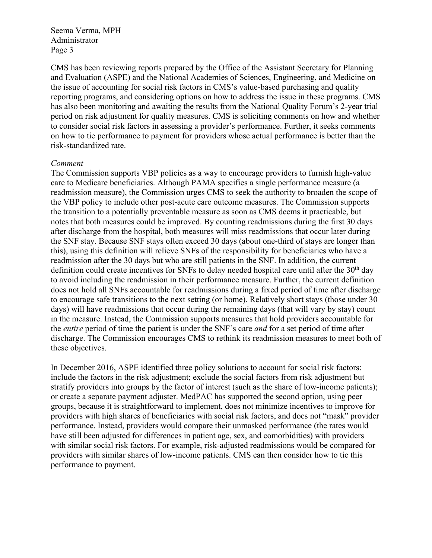CMS has been reviewing reports prepared by the Office of the Assistant Secretary for Planning and Evaluation (ASPE) and the National Academies of Sciences, Engineering, and Medicine on the issue of accounting for social risk factors in CMS's value-based purchasing and quality reporting programs, and considering options on how to address the issue in these programs. CMS has also been monitoring and awaiting the results from the National Quality Forum's 2-year trial period on risk adjustment for quality measures. CMS is soliciting comments on how and whether to consider social risk factors in assessing a provider's performance. Further, it seeks comments on how to tie performance to payment for providers whose actual performance is better than the risk-standardized rate.

### *Comment*

The Commission supports VBP policies as a way to encourage providers to furnish high-value care to Medicare beneficiaries. Although PAMA specifies a single performance measure (a readmission measure), the Commission urges CMS to seek the authority to broaden the scope of the VBP policy to include other post-acute care outcome measures. The Commission supports the transition to a potentially preventable measure as soon as CMS deems it practicable, but notes that both measures could be improved. By counting readmissions during the first 30 days after discharge from the hospital, both measures will miss readmissions that occur later during the SNF stay. Because SNF stays often exceed 30 days (about one-third of stays are longer than this), using this definition will relieve SNFs of the responsibility for beneficiaries who have a readmission after the 30 days but who are still patients in the SNF. In addition, the current definition could create incentives for SNFs to delay needed hospital care until after the  $30<sup>th</sup>$  day to avoid including the readmission in their performance measure. Further, the current definition does not hold all SNFs accountable for readmissions during a fixed period of time after discharge to encourage safe transitions to the next setting (or home). Relatively short stays (those under 30 days) will have readmissions that occur during the remaining days (that will vary by stay) count in the measure. Instead, the Commission supports measures that hold providers accountable for the *entire* period of time the patient is under the SNF's care *and* for a set period of time after discharge. The Commission encourages CMS to rethink its readmission measures to meet both of these objectives.

In December 2016, ASPE identified three policy solutions to account for social risk factors: include the factors in the risk adjustment; exclude the social factors from risk adjustment but stratify providers into groups by the factor of interest (such as the share of low-income patients); or create a separate payment adjuster. MedPAC has supported the second option, using peer groups, because it is straightforward to implement, does not minimize incentives to improve for providers with high shares of beneficiaries with social risk factors, and does not "mask" provider performance. Instead, providers would compare their unmasked performance (the rates would have still been adjusted for differences in patient age, sex, and comorbidities) with providers with similar social risk factors. For example, risk-adjusted readmissions would be compared for providers with similar shares of low-income patients. CMS can then consider how to tie this performance to payment.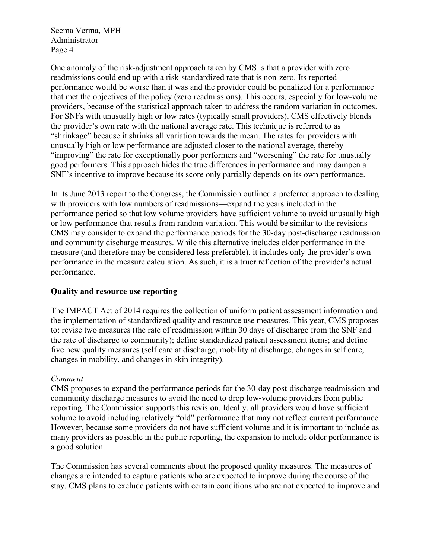One anomaly of the risk-adjustment approach taken by CMS is that a provider with zero readmissions could end up with a risk-standardized rate that is non-zero. Its reported performance would be worse than it was and the provider could be penalized for a performance that met the objectives of the policy (zero readmissions). This occurs, especially for low-volume providers, because of the statistical approach taken to address the random variation in outcomes. For SNFs with unusually high or low rates (typically small providers), CMS effectively blends the provider's own rate with the national average rate. This technique is referred to as "shrinkage" because it shrinks all variation towards the mean. The rates for providers with unusually high or low performance are adjusted closer to the national average, thereby "improving" the rate for exceptionally poor performers and "worsening" the rate for unusually good performers. This approach hides the true differences in performance and may dampen a SNF's incentive to improve because its score only partially depends on its own performance.

In its June 2013 report to the Congress, the Commission outlined a preferred approach to dealing with providers with low numbers of readmissions—expand the years included in the performance period so that low volume providers have sufficient volume to avoid unusually high or low performance that results from random variation. This would be similar to the revisions CMS may consider to expand the performance periods for the 30-day post-discharge readmission and community discharge measures. While this alternative includes older performance in the measure (and therefore may be considered less preferable), it includes only the provider's own performance in the measure calculation. As such, it is a truer reflection of the provider's actual performance.

# **Quality and resource use reporting**

The IMPACT Act of 2014 requires the collection of uniform patient assessment information and the implementation of standardized quality and resource use measures. This year, CMS proposes to: revise two measures (the rate of readmission within 30 days of discharge from the SNF and the rate of discharge to community); define standardized patient assessment items; and define five new quality measures (self care at discharge, mobility at discharge, changes in self care, changes in mobility, and changes in skin integrity).

### *Comment*

CMS proposes to expand the performance periods for the 30-day post-discharge readmission and community discharge measures to avoid the need to drop low-volume providers from public reporting. The Commission supports this revision. Ideally, all providers would have sufficient volume to avoid including relatively "old" performance that may not reflect current performance However, because some providers do not have sufficient volume and it is important to include as many providers as possible in the public reporting, the expansion to include older performance is a good solution.

The Commission has several comments about the proposed quality measures. The measures of changes are intended to capture patients who are expected to improve during the course of the stay. CMS plans to exclude patients with certain conditions who are not expected to improve and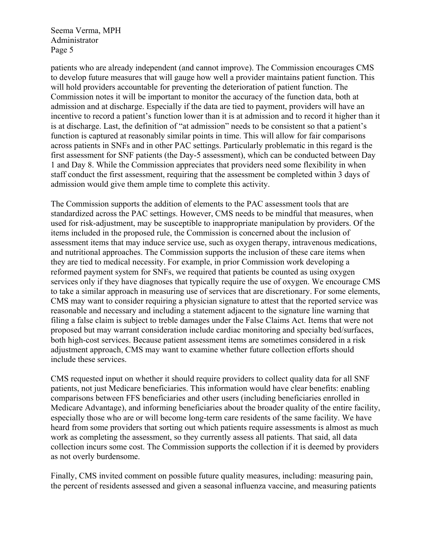patients who are already independent (and cannot improve). The Commission encourages CMS to develop future measures that will gauge how well a provider maintains patient function. This will hold providers accountable for preventing the deterioration of patient function. The Commission notes it will be important to monitor the accuracy of the function data, both at admission and at discharge. Especially if the data are tied to payment, providers will have an incentive to record a patient's function lower than it is at admission and to record it higher than it is at discharge. Last, the definition of "at admission" needs to be consistent so that a patient's function is captured at reasonably similar points in time. This will allow for fair comparisons across patients in SNFs and in other PAC settings. Particularly problematic in this regard is the first assessment for SNF patients (the Day-5 assessment), which can be conducted between Day 1 and Day 8. While the Commission appreciates that providers need some flexibility in when staff conduct the first assessment, requiring that the assessment be completed within 3 days of admission would give them ample time to complete this activity.

The Commission supports the addition of elements to the PAC assessment tools that are standardized across the PAC settings. However, CMS needs to be mindful that measures, when used for risk-adjustment, may be susceptible to inappropriate manipulation by providers. Of the items included in the proposed rule, the Commission is concerned about the inclusion of assessment items that may induce service use, such as oxygen therapy, intravenous medications, and nutritional approaches. The Commission supports the inclusion of these care items when they are tied to medical necessity. For example, in prior Commission work developing a reformed payment system for SNFs, we required that patients be counted as using oxygen services only if they have diagnoses that typically require the use of oxygen. We encourage CMS to take a similar approach in measuring use of services that are discretionary. For some elements, CMS may want to consider requiring a physician signature to attest that the reported service was reasonable and necessary and including a statement adjacent to the signature line warning that filing a false claim is subject to treble damages under the False Claims Act. Items that were not proposed but may warrant consideration include cardiac monitoring and specialty bed/surfaces, both high-cost services. Because patient assessment items are sometimes considered in a risk adjustment approach, CMS may want to examine whether future collection efforts should include these services.

CMS requested input on whether it should require providers to collect quality data for all SNF patients, not just Medicare beneficiaries. This information would have clear benefits: enabling comparisons between FFS beneficiaries and other users (including beneficiaries enrolled in Medicare Advantage), and informing beneficiaries about the broader quality of the entire facility, especially those who are or will become long-term care residents of the same facility. We have heard from some providers that sorting out which patients require assessments is almost as much work as completing the assessment, so they currently assess all patients. That said, all data collection incurs some cost. The Commission supports the collection if it is deemed by providers as not overly burdensome.

Finally, CMS invited comment on possible future quality measures, including: measuring pain, the percent of residents assessed and given a seasonal influenza vaccine, and measuring patients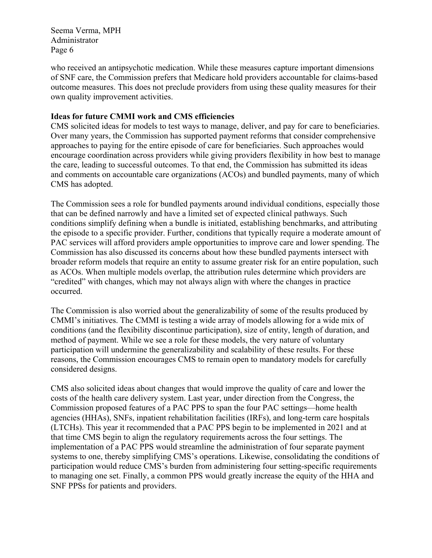who received an antipsychotic medication. While these measures capture important dimensions of SNF care, the Commission prefers that Medicare hold providers accountable for claims-based outcome measures. This does not preclude providers from using these quality measures for their own quality improvement activities.

# **Ideas for future CMMI work and CMS efficiencies**

CMS solicited ideas for models to test ways to manage, deliver, and pay for care to beneficiaries. Over many years, the Commission has supported payment reforms that consider comprehensive approaches to paying for the entire episode of care for beneficiaries. Such approaches would encourage coordination across providers while giving providers flexibility in how best to manage the care, leading to successful outcomes. To that end, the Commission has submitted its ideas and comments on accountable care organizations (ACOs) and bundled payments, many of which CMS has adopted.

The Commission sees a role for bundled payments around individual conditions, especially those that can be defined narrowly and have a limited set of expected clinical pathways. Such conditions simplify defining when a bundle is initiated, establishing benchmarks, and attributing the episode to a specific provider. Further, conditions that typically require a moderate amount of PAC services will afford providers ample opportunities to improve care and lower spending. The Commission has also discussed its concerns about how these bundled payments intersect with broader reform models that require an entity to assume greater risk for an entire population, such as ACOs. When multiple models overlap, the attribution rules determine which providers are "credited" with changes, which may not always align with where the changes in practice occurred.

The Commission is also worried about the generalizability of some of the results produced by CMMI's initiatives. The CMMI is testing a wide array of models allowing for a wide mix of conditions (and the flexibility discontinue participation), size of entity, length of duration, and method of payment. While we see a role for these models, the very nature of voluntary participation will undermine the generalizability and scalability of these results. For these reasons, the Commission encourages CMS to remain open to mandatory models for carefully considered designs.

CMS also solicited ideas about changes that would improve the quality of care and lower the costs of the health care delivery system. Last year, under direction from the Congress, the Commission proposed features of a PAC PPS to span the four PAC settings—home health agencies (HHAs), SNFs, inpatient rehabilitation facilities (IRFs), and long-term care hospitals (LTCHs). This year it recommended that a PAC PPS begin to be implemented in 2021 and at that time CMS begin to align the regulatory requirements across the four settings. The implementation of a PAC PPS would streamline the administration of four separate payment systems to one, thereby simplifying CMS's operations. Likewise, consolidating the conditions of participation would reduce CMS's burden from administering four setting-specific requirements to managing one set. Finally, a common PPS would greatly increase the equity of the HHA and SNF PPSs for patients and providers.